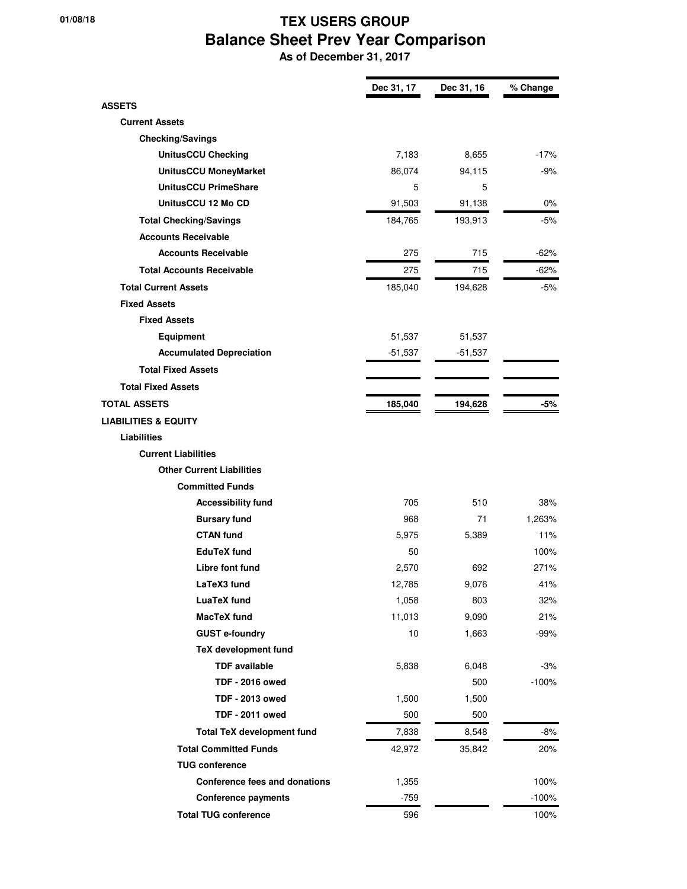## **01/08/18 TEX USERS GROUP Balance Sheet Prev Year Comparison**

 **As of December 31, 2017**

|                                   | Dec 31, 17 | Dec 31, 16 | % Change |
|-----------------------------------|------------|------------|----------|
| <b>ASSETS</b>                     |            |            |          |
| <b>Current Assets</b>             |            |            |          |
| <b>Checking/Savings</b>           |            |            |          |
| <b>UnitusCCU Checking</b>         | 7,183      | 8,655      | $-17%$   |
| <b>UnitusCCU MoneyMarket</b>      | 86,074     | 94,115     | $-9%$    |
| <b>UnitusCCU PrimeShare</b>       | 5          | 5          |          |
| UnitusCCU 12 Mo CD                | 91,503     | 91,138     | $0\%$    |
| <b>Total Checking/Savings</b>     | 184,765    | 193,913    | -5%      |
| <b>Accounts Receivable</b>        |            |            |          |
| <b>Accounts Receivable</b>        | 275        | 715        | $-62%$   |
| <b>Total Accounts Receivable</b>  | 275        | 715        | $-62%$   |
| <b>Total Current Assets</b>       | 185,040    | 194,628    | $-5%$    |
| <b>Fixed Assets</b>               |            |            |          |
| <b>Fixed Assets</b>               |            |            |          |
| <b>Equipment</b>                  | 51,537     | 51,537     |          |
| <b>Accumulated Depreciation</b>   | $-51,537$  | $-51,537$  |          |
| <b>Total Fixed Assets</b>         |            |            |          |
| <b>Total Fixed Assets</b>         |            |            |          |
| <b>TOTAL ASSETS</b>               | 185,040    | 194,628    | -5%      |
| <b>LIABILITIES &amp; EQUITY</b>   |            |            |          |
| <b>Liabilities</b>                |            |            |          |
| <b>Current Liabilities</b>        |            |            |          |
| <b>Other Current Liabilities</b>  |            |            |          |
| <b>Committed Funds</b>            |            |            |          |
| <b>Accessibility fund</b>         | 705        | 510        | 38%      |
| <b>Bursary fund</b>               | 968        | 71         | 1,263%   |
| <b>CTAN fund</b>                  | 5,975      | 5,389      | 11%      |
| <b>EduTeX</b> fund                | 50         |            | 100%     |
| Libre font fund                   | 2,570      | 692        | 271%     |
| LaTeX3 fund                       | 12,785     | 9,076      | 41%      |
| <b>LuaTeX</b> fund                | 1,058      | 803        | 32%      |
| <b>MacTeX</b> fund                | 11,013     | 9,090      | 21%      |
| <b>GUST e-foundry</b>             | 10         | 1,663      | $-99%$   |
| <b>TeX development fund</b>       |            |            |          |
| <b>TDF</b> available              | 5,838      | 6,048      | $-3%$    |
| <b>TDF - 2016 owed</b>            |            | 500        | $-100%$  |
| <b>TDF - 2013 owed</b>            | 1,500      | 1,500      |          |
| <b>TDF - 2011 owed</b>            | 500        | 500        |          |
| <b>Total TeX development fund</b> | 7,838      | 8,548      | $-8%$    |
| <b>Total Committed Funds</b>      | 42,972     | 35,842     | 20%      |
| <b>TUG conference</b>             |            |            |          |
| Conference fees and donations     | 1,355      |            | 100%     |
| <b>Conference payments</b>        | $-759$     |            | $-100%$  |
| <b>Total TUG conference</b>       | 596        |            | 100%     |
|                                   |            |            |          |